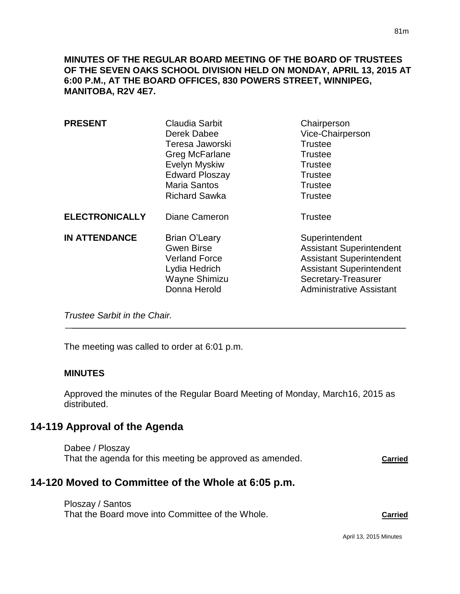**MINUTES OF THE REGULAR BOARD MEETING OF THE BOARD OF TRUSTEES OF THE SEVEN OAKS SCHOOL DIVISION HELD ON MONDAY, APRIL 13, 2015 AT 6:00 P.M., AT THE BOARD OFFICES, 830 POWERS STREET, WINNIPEG, MANITOBA, R2V 4E7.**

| <b>PRESENT</b>        | Claudia Sarbit<br>Derek Dabee<br>Teresa Jaworski<br>Greg McFarlane<br>Evelyn Myskiw<br><b>Edward Ploszay</b><br><b>Maria Santos</b><br><b>Richard Sawka</b> | Chairperson<br>Vice-Chairperson<br><b>Trustee</b><br><b>Trustee</b><br><b>Trustee</b><br><b>Trustee</b><br><b>Trustee</b><br><b>Trustee</b>                                       |
|-----------------------|-------------------------------------------------------------------------------------------------------------------------------------------------------------|-----------------------------------------------------------------------------------------------------------------------------------------------------------------------------------|
| <b>ELECTRONICALLY</b> | <b>Diane Cameron</b>                                                                                                                                        | <b>Trustee</b>                                                                                                                                                                    |
| <b>IN ATTENDANCE</b>  | Brian O'Leary<br><b>Gwen Birse</b><br><b>Verland Force</b><br>Lydia Hedrich<br>Wayne Shimizu<br>Donna Herold                                                | Superintendent<br><b>Assistant Superintendent</b><br><b>Assistant Superintendent</b><br><b>Assistant Superintendent</b><br>Secretary-Treasurer<br><b>Administrative Assistant</b> |

*Trustee Sarbit in the Chair.* 

The meeting was called to order at 6:01 p.m.

#### **MINUTES**

Approved the minutes of the Regular Board Meeting of Monday, March16, 2015 as distributed.

# **14-119 Approval of the Agenda**

Dabee / Ploszay That the agenda for this meeting be approved as amended. **Carried**

# **14-120 Moved to Committee of the Whole at 6:05 p.m.**

Ploszay / Santos That the Board move into Committee of the Whole. **Carried**

April 13, 2015 Minutes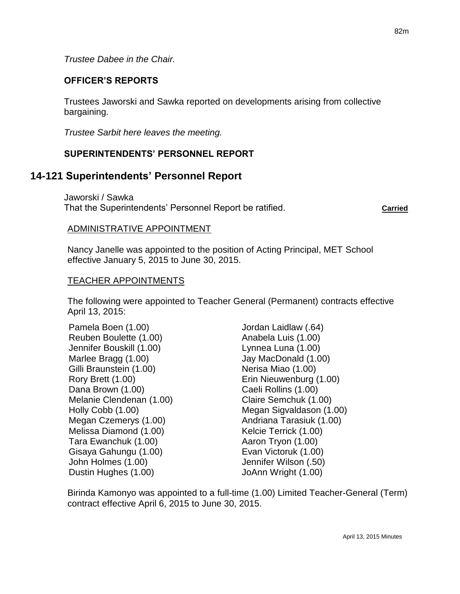*Trustee Dabee in the Chair.*

### **OFFICER'S REPORTS**

Trustees Jaworski and Sawka reported on developments arising from collective bargaining.

*Trustee Sarbit here leaves the meeting.*

## **SUPERINTENDENTS' PERSONNEL REPORT**

# **14-121 Superintendents' Personnel Report**

Jaworski / Sawka That the Superintendents' Personnel Report be ratified. **Carried**

### ADMINISTRATIVE APPOINTMENT

Nancy Janelle was appointed to the position of Acting Principal, MET School effective January 5, 2015 to June 30, 2015.

### TEACHER APPOINTMENTS

The following were appointed to Teacher General (Permanent) contracts effective April 13, 2015:

Pamela Boen (1.00) Jordan Laidlaw (.64) Reuben Boulette (1.00) Anabela Luis (1.00) Jennifer Bouskill (1.00) Lynnea Luna (1.00) Marlee Bragg (1.00) Jay MacDonald (1.00) Gilli Braunstein (1.00) Nerisa Miao (1.00) Rory Brett (1.00) Erin Nieuwenburg (1.00) Dana Brown (1.00) Caeli Rollins (1.00) Melanie Clendenan (1.00) Claire Semchuk (1.00) Megan Czemerys (1.00) Megan Czemerys (1.00) Melissa Diamond (1.00) Kelcie Terrick (1.00) Tara Ewanchuk (1.00) Aaron Tryon (1.00) Gisaya Gahungu (1.00) Evan Victoruk (1.00) John Holmes (1.00) Jennifer Wilson (.50) Dustin Hughes (1.00) JoAnn Wright (1.00)

Holly Cobb (1.00) Megan Sigvaldason (1.00)

Birinda Kamonyo was appointed to a full-time (1.00) Limited Teacher-General (Term) contract effective April 6, 2015 to June 30, 2015.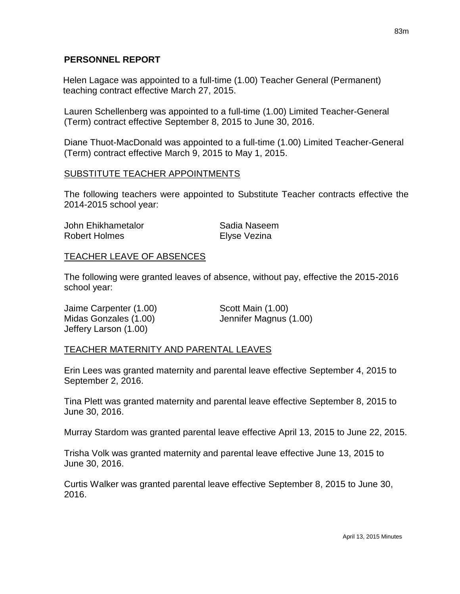#### **PERSONNEL REPORT**

Helen Lagace was appointed to a full-time (1.00) Teacher General (Permanent) teaching contract effective March 27, 2015.

Lauren Schellenberg was appointed to a full-time (1.00) Limited Teacher-General (Term) contract effective September 8, 2015 to June 30, 2016.

Diane Thuot-MacDonald was appointed to a full-time (1.00) Limited Teacher-General (Term) contract effective March 9, 2015 to May 1, 2015.

### SUBSTITUTE TEACHER APPOINTMENTS

The following teachers were appointed to Substitute Teacher contracts effective the 2014-2015 school year:

| John Ehikhametalor | Sadia Naseem |
|--------------------|--------------|
| Robert Holmes      | Elyse Vezina |

### TEACHER LEAVE OF ABSENCES

The following were granted leaves of absence, without pay, effective the 2015-2016 school year:

Jaime Carpenter (1.00) Scott Main (1.00) Midas Gonzales (1.00) Jennifer Magnus (1.00) Jeffery Larson (1.00)

### TEACHER MATERNITY AND PARENTAL LEAVES

Erin Lees was granted maternity and parental leave effective September 4, 2015 to September 2, 2016.

Tina Plett was granted maternity and parental leave effective September 8, 2015 to June 30, 2016.

Murray Stardom was granted parental leave effective April 13, 2015 to June 22, 2015.

Trisha Volk was granted maternity and parental leave effective June 13, 2015 to June 30, 2016.

Curtis Walker was granted parental leave effective September 8, 2015 to June 30, 2016.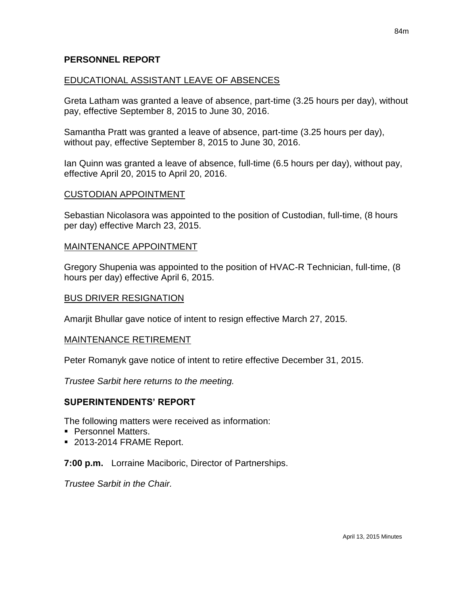#### **PERSONNEL REPORT**

#### EDUCATIONAL ASSISTANT LEAVE OF ABSENCES

Greta Latham was granted a leave of absence, part-time (3.25 hours per day), without pay, effective September 8, 2015 to June 30, 2016.

Samantha Pratt was granted a leave of absence, part-time (3.25 hours per day), without pay, effective September 8, 2015 to June 30, 2016.

Ian Quinn was granted a leave of absence, full-time (6.5 hours per day), without pay, effective April 20, 2015 to April 20, 2016.

#### CUSTODIAN APPOINTMENT

Sebastian Nicolasora was appointed to the position of Custodian, full-time, (8 hours per day) effective March 23, 2015.

#### MAINTENANCE APPOINTMENT

Gregory Shupenia was appointed to the position of HVAC-R Technician, full-time, (8 hours per day) effective April 6, 2015.

#### BUS DRIVER RESIGNATION

Amarjit Bhullar gave notice of intent to resign effective March 27, 2015.

#### MAINTENANCE RETIREMENT

Peter Romanyk gave notice of intent to retire effective December 31, 2015.

*Trustee Sarbit here returns to the meeting.*

#### **SUPERINTENDENTS' REPORT**

The following matters were received as information:

- **Personnel Matters.**
- 2013-2014 FRAME Report.

#### **7:00 p.m.** Lorraine Maciboric, Director of Partnerships.

*Trustee Sarbit in the Chair.*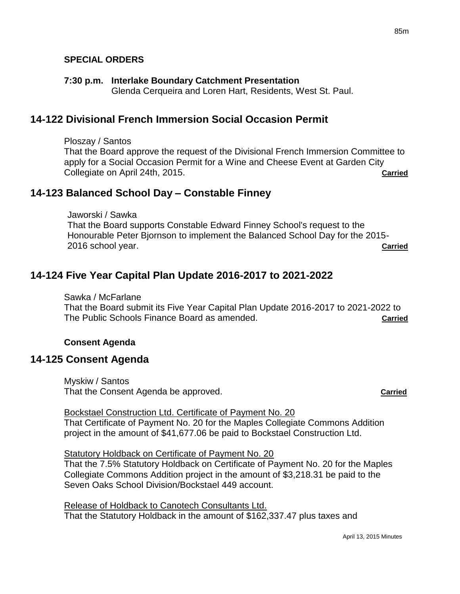## **SPECIAL ORDERS**

#### **7:30 p.m. Interlake Boundary Catchment Presentation**

Glenda Cerqueira and Loren Hart, Residents, West St. Paul.

# **14-122 Divisional French Immersion Social Occasion Permit**

Ploszay / Santos

That the Board approve the request of the Divisional French Immersion Committee to apply for a Social Occasion Permit for a Wine and Cheese Event at Garden City Collegiate on April 24th, 2015. **Carried**

# **14-123 Balanced School Day – Constable Finney**

Jaworski / Sawka That the Board supports Constable Edward Finney School's request to the Honourable Peter Bjornson to implement the Balanced School Day for the 2015- 2016 school year. **Carried**

# **14-124 Five Year Capital Plan Update 2016-2017 to 2021-2022**

Sawka / McFarlane That the Board submit its Five Year Capital Plan Update 2016-2017 to 2021-2022 to The Public Schools Finance Board as amended. **Carried**

### **Consent Agenda**

# **14-125 Consent Agenda**

Myskiw / Santos That the Consent Agenda be approved. **Carried**

Bockstael Construction Ltd. Certificate of Payment No. 20 That Certificate of Payment No. 20 for the Maples Collegiate Commons Addition project in the amount of \$41,677.06 be paid to Bockstael Construction Ltd.

Statutory Holdback on Certificate of Payment No. 20 That the 7.5% Statutory Holdback on Certificate of Payment No. 20 for the Maples Collegiate Commons Addition project in the amount of \$3,218.31 be paid to the Seven Oaks School Division/Bockstael 449 account.

Release of Holdback to Canotech Consultants Ltd. That the Statutory Holdback in the amount of \$162,337.47 plus taxes and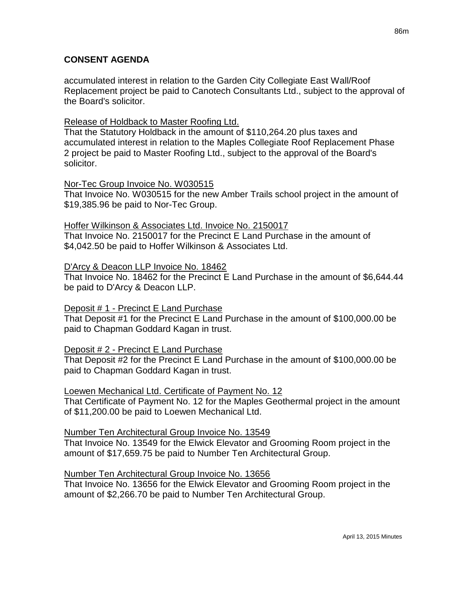## **CONSENT AGENDA**

accumulated interest in relation to the Garden City Collegiate East Wall/Roof Replacement project be paid to Canotech Consultants Ltd., subject to the approval of the Board's solicitor.

## Release of Holdback to Master Roofing Ltd.

That the Statutory Holdback in the amount of \$110,264.20 plus taxes and accumulated interest in relation to the Maples Collegiate Roof Replacement Phase 2 project be paid to Master Roofing Ltd., subject to the approval of the Board's solicitor.

### Nor-Tec Group Invoice No. W030515

That Invoice No. W030515 for the new Amber Trails school project in the amount of \$19,385.96 be paid to Nor-Tec Group.

## Hoffer Wilkinson & Associates Ltd. Invoice No. 2150017

That Invoice No. 2150017 for the Precinct E Land Purchase in the amount of \$4,042.50 be paid to Hoffer Wilkinson & Associates Ltd.

## D'Arcy & Deacon LLP Invoice No. 18462

That Invoice No. 18462 for the Precinct E Land Purchase in the amount of \$6,644.44 be paid to D'Arcy & Deacon LLP.

# Deposit # 1 - Precinct E Land Purchase

That Deposit #1 for the Precinct E Land Purchase in the amount of \$100,000.00 be paid to Chapman Goddard Kagan in trust.

# Deposit # 2 - Precinct E Land Purchase

That Deposit #2 for the Precinct E Land Purchase in the amount of \$100,000.00 be paid to Chapman Goddard Kagan in trust.

### Loewen Mechanical Ltd. Certificate of Payment No. 12

That Certificate of Payment No. 12 for the Maples Geothermal project in the amount of \$11,200.00 be paid to Loewen Mechanical Ltd.

# Number Ten Architectural Group Invoice No. 13549

That Invoice No. 13549 for the Elwick Elevator and Grooming Room project in the amount of \$17,659.75 be paid to Number Ten Architectural Group.

# Number Ten Architectural Group Invoice No. 13656

That Invoice No. 13656 for the Elwick Elevator and Grooming Room project in the amount of \$2,266.70 be paid to Number Ten Architectural Group.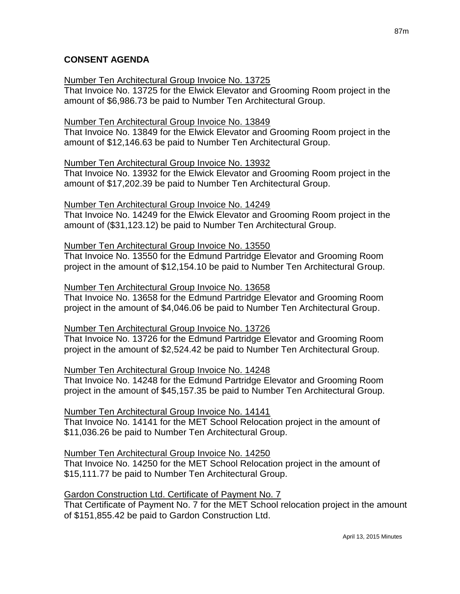## **CONSENT AGENDA**

## Number Ten Architectural Group Invoice No. 13725

That Invoice No. 13725 for the Elwick Elevator and Grooming Room project in the amount of \$6,986.73 be paid to Number Ten Architectural Group.

## Number Ten Architectural Group Invoice No. 13849

That Invoice No. 13849 for the Elwick Elevator and Grooming Room project in the amount of \$12,146.63 be paid to Number Ten Architectural Group.

## Number Ten Architectural Group Invoice No. 13932

That Invoice No. 13932 for the Elwick Elevator and Grooming Room project in the amount of \$17,202.39 be paid to Number Ten Architectural Group.

## Number Ten Architectural Group Invoice No. 14249

That Invoice No. 14249 for the Elwick Elevator and Grooming Room project in the amount of (\$31,123.12) be paid to Number Ten Architectural Group.

### Number Ten Architectural Group Invoice No. 13550

That Invoice No. 13550 for the Edmund Partridge Elevator and Grooming Room project in the amount of \$12,154.10 be paid to Number Ten Architectural Group.

### Number Ten Architectural Group Invoice No. 13658

That Invoice No. 13658 for the Edmund Partridge Elevator and Grooming Room project in the amount of \$4,046.06 be paid to Number Ten Architectural Group.

### Number Ten Architectural Group Invoice No. 13726

That Invoice No. 13726 for the Edmund Partridge Elevator and Grooming Room project in the amount of \$2,524.42 be paid to Number Ten Architectural Group.

### Number Ten Architectural Group Invoice No. 14248

That Invoice No. 14248 for the Edmund Partridge Elevator and Grooming Room project in the amount of \$45,157.35 be paid to Number Ten Architectural Group.

Number Ten Architectural Group Invoice No. 14141

That Invoice No. 14141 for the MET School Relocation project in the amount of \$11,036.26 be paid to Number Ten Architectural Group.

# Number Ten Architectural Group Invoice No. 14250

That Invoice No. 14250 for the MET School Relocation project in the amount of \$15,111.77 be paid to Number Ten Architectural Group.

# Gardon Construction Ltd. Certificate of Payment No. 7

That Certificate of Payment No. 7 for the MET School relocation project in the amount of \$151,855.42 be paid to Gardon Construction Ltd.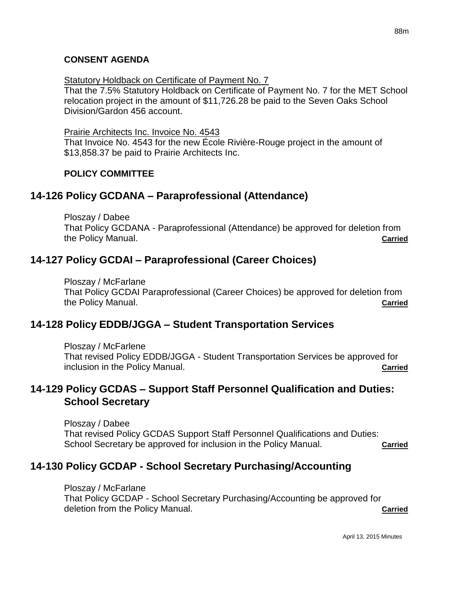#### **CONSENT AGENDA**

#### Statutory Holdback on Certificate of Payment No. 7

That the 7.5% Statutory Holdback on Certificate of Payment No. 7 for the MET School relocation project in the amount of \$11,726.28 be paid to the Seven Oaks School Division/Gardon 456 account.

#### Prairie Architects Inc. Invoice No. 4543

That Invoice No. 4543 for the new École Rivière-Rouge project in the amount of \$13,858.37 be paid to Prairie Architects Inc.

#### **POLICY COMMITTEE**

# **14-126 Policy GCDANA – Paraprofessional (Attendance)**

Ploszay / Dabee

That Policy GCDANA - Paraprofessional (Attendance) be approved for deletion from the Policy Manual. **Carried**

# **14-127 Policy GCDAI – Paraprofessional (Career Choices)**

Ploszay / McFarlane That Policy GCDAI Paraprofessional (Career Choices) be approved for deletion from the Policy Manual. **Carried**

# **14-128 Policy EDDB/JGGA – Student Transportation Services**

Ploszay / McFarlene

That revised Policy EDDB/JGGA - Student Transportation Services be approved for inclusion in the Policy Manual. **Carried**

# **14-129 Policy GCDAS – Support Staff Personnel Qualification and Duties: School Secretary**

Ploszay / Dabee That revised Policy GCDAS Support Staff Personnel Qualifications and Duties: School Secretary be approved for inclusion in the Policy Manual. **Carried** 

# **14-130 Policy GCDAP - School Secretary Purchasing/Accounting**

Ploszay / McFarlane That Policy GCDAP - School Secretary Purchasing/Accounting be approved for deletion from the Policy Manual. **Carried**

April 13, 2015 Minutes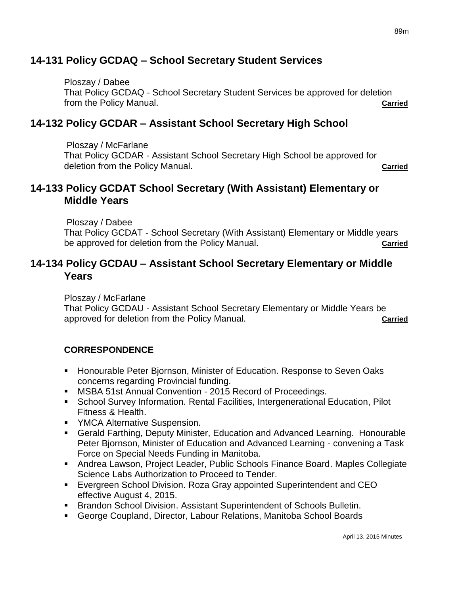# **14-131 Policy GCDAQ – School Secretary Student Services**

Ploszay / Dabee That Policy GCDAQ - School Secretary Student Services be approved for deletion from the Policy Manual. **Carried**

# **14-132 Policy GCDAR – Assistant School Secretary High School**

Ploszay / McFarlane That Policy GCDAR - Assistant School Secretary High School be approved for deletion from the Policy Manual. **Carried**

# **14-133 Policy GCDAT School Secretary (With Assistant) Elementary or Middle Years**

Ploszay / Dabee

That Policy GCDAT - School Secretary (With Assistant) Elementary or Middle years be approved for deletion from the Policy Manual. **Carried**

# **14-134 Policy GCDAU – Assistant School Secretary Elementary or Middle Years**

Ploszay / McFarlane

That Policy GCDAU - Assistant School Secretary Elementary or Middle Years be approved for deletion from the Policy Manual. **Carried**

# **CORRESPONDENCE**

- **Honourable Peter Bjornson, Minister of Education. Response to Seven Oaks** concerns regarding Provincial funding.
- **MSBA 51st Annual Convention 2015 Record of Proceedings.**
- School Survey Information. Rental Facilities, Intergenerational Education, Pilot Fitness & Health.
- **YMCA Alternative Suspension.**
- Gerald Farthing, Deputy Minister, Education and Advanced Learning. Honourable Peter Bjornson, Minister of Education and Advanced Learning - convening a Task Force on Special Needs Funding in Manitoba.
- Andrea Lawson, Project Leader, Public Schools Finance Board. Maples Collegiate Science Labs Authorization to Proceed to Tender.
- Evergreen School Division. Roza Gray appointed Superintendent and CEO effective August 4, 2015.
- **Brandon School Division. Assistant Superintendent of Schools Bulletin.**
- George Coupland, Director, Labour Relations, Manitoba School Boards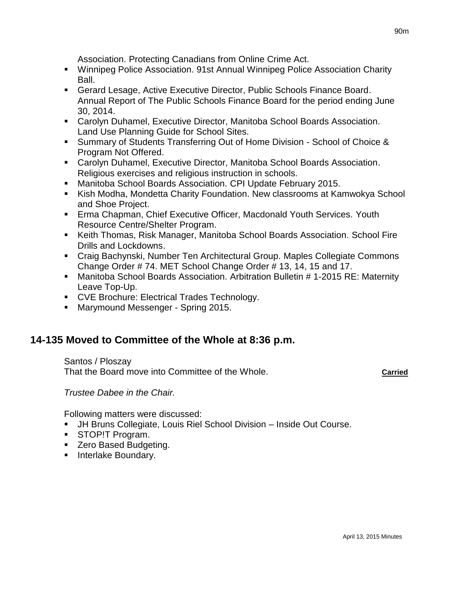Association. Protecting Canadians from Online Crime Act.

- Winnipeg Police Association. 91st Annual Winnipeg Police Association Charity Ball.
- Gerard Lesage, Active Executive Director, Public Schools Finance Board. Annual Report of The Public Schools Finance Board for the period ending June 30, 2014.
- Carolyn Duhamel, Executive Director, Manitoba School Boards Association. Land Use Planning Guide for School Sites.
- Summary of Students Transferring Out of Home Division School of Choice & Program Not Offered.
- Carolyn Duhamel, Executive Director, Manitoba School Boards Association. Religious exercises and religious instruction in schools.
- Manitoba School Boards Association. CPI Update February 2015.
- Kish Modha, Mondetta Charity Foundation. New classrooms at Kamwokya School and Shoe Project.
- **Erma Chapman, Chief Executive Officer, Macdonald Youth Services. Youth** Resource Centre/Shelter Program.
- Keith Thomas, Risk Manager, Manitoba School Boards Association. School Fire Drills and Lockdowns.
- Craig Bachynski, Number Ten Architectural Group. Maples Collegiate Commons Change Order # 74. MET School Change Order # 13, 14, 15 and 17.
- Manitoba School Boards Association. Arbitration Bulletin # 1-2015 RE: Maternity Leave Top-Up.
- **CVE Brochure: Electrical Trades Technology.**
- Marymound Messenger Spring 2015.

# **14-135 Moved to Committee of the Whole at 8:36 p.m.**

Santos / Ploszay That the Board move into Committee of the Whole. **Carried**

*Trustee Dabee in the Chair.*

Following matters were discussed:

- JH Bruns Collegiate, Louis Riel School Division Inside Out Course.
- **STOP!T Program.**
- **EXEC** Based Budgeting.
- **Interlake Boundary.**